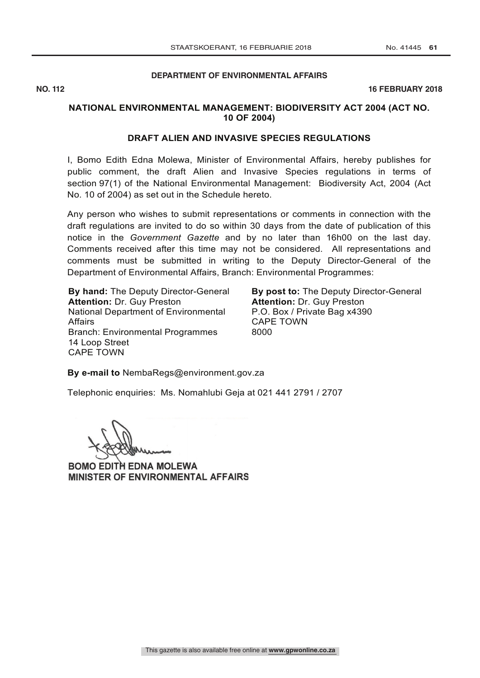## **DEPARTMENT OF ENVIRONMENTAL AFFAIRS**

**NO. 112** 16 FEBRUARY 2018

## **NATIONAL ENVIRONMENTAL MANAGEMENT: BIODIVERSITY ACT 2004 (ACT NO. 10 OF 2004)**

## **DRAFT ALIEN AND INVASIVE SPECIES REGULATIONS**

I, Bomo Edith Edna Molewa, Minister of Environmental Affairs, hereby publishes for public comment, the draft Alien and Invasive Species regulations in terms of section 97(1) of the National Environmental Management: Biodiversity Act, 2004 (Act No. 10 of 2004) as set out in the Schedule hereto.

Any person who wishes to submit representations or comments in connection with the draft regulations are invited to do so within 30 days from the date of publication of this notice in the *Government Gazette* and by no later than 16h00 on the last day. Comments received after this time may not be considered. All representations and comments must be submitted in writing to the Deputy Director-General of the Department of Environmental Affairs, Branch: Environmental Programmes:

**By hand:** The Deputy Director-General **Attention:** Dr. Guy Preston National Department of Environmental Affairs Branch: Environmental Programmes 14 Loop Street CAPE TOWN

**By post to:** The Deputy Director-General **Attention:** Dr. Guy Preston P.O. Box / Private Bag x4390 CAPE TOWN 8000

**By e-mail to** NembaRegs@environment.gov.za

Telephonic enquiries: Ms. Nomahlubi Geja at 021 441 2791 / 2707

BOMO EDITH EDNA MOLEWA MINISTER OF ENVIRONMENTAL AFFAIRS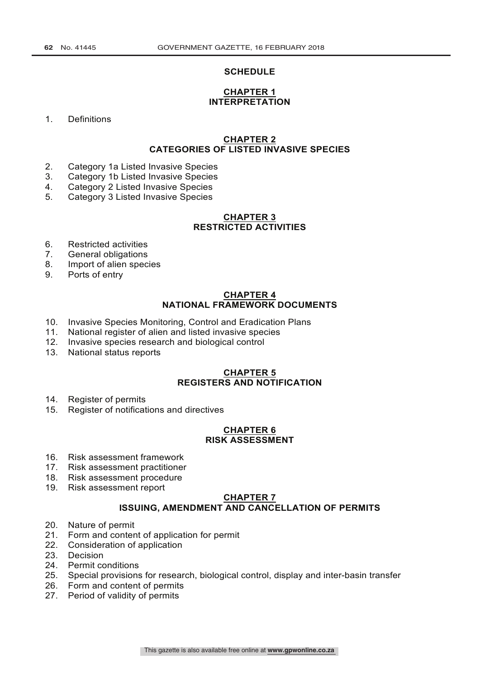#### **SCHEDULE**

## **CHAPTER 1 INTERPRETATION**

1. Definitions

## **CHAPTER 2 CATEGORIES OF LISTED INVASIVE SPECIES**

- 2. Category 1a Listed Invasive Species
- 3. Category 1b Listed Invasive Species
- 4. Category 2 Listed Invasive Species
- 5. Category 3 Listed Invasive Species

## **CHAPTER 3 RESTRICTED ACTIVITIES**

- 6. Restricted activities<br>7. General obligations
- General obligations
- 8. Import of alien species
- 9. Ports of entry

#### **CHAPTER 4 NATIONAL FRAMEWORK DOCUMENTS**

- 10. Invasive Species Monitoring, Control and Eradication Plans
- 11. National register of alien and listed invasive species
- 12. Invasive species research and biological control
- 13. National status reports

## **CHAPTER 5 REGISTERS AND NOTIFICATION**

- 14. Register of permits
- 15. Register of notifications and directives

#### **CHAPTER 6 RISK ASSESSMENT**

- 16. Risk assessment framework
- 17. Risk assessment practitioner
- 18. Risk assessment procedure
- 19. Risk assessment report

## **CHAPTER 7 ISSUING, AMENDMENT AND CANCELLATION OF PERMITS**

- 20. Nature of permit
- 21. Form and content of application for permit
- 22. Consideration of application<br>23. Decision
- **Decision**
- 24. Permit conditions
- 25. Special provisions for research, biological control, display and inter-basin transfer
- 26. Form and content of permits
- 27. Period of validity of permits

This gazette is also available free online at **www.gpwonline.co.za**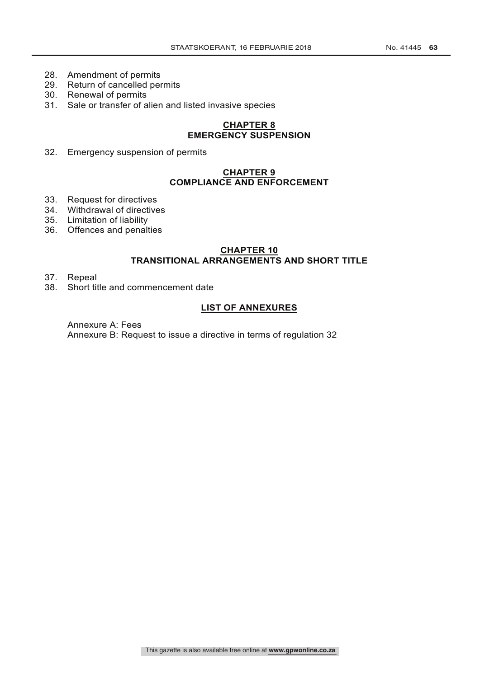- 28. Amendment of permits
- 29. Return of cancelled permits
- 30. Renewal of permits
- 31. Sale or transfer of alien and listed invasive species

## **CHAPTER 8 EMERGENCY SUSPENSION**

32. Emergency suspension of permits

## **CHAPTER 9 COMPLIANCE AND ENFORCEMENT**

- 33. Request for directives
- 34. Withdrawal of directives
- 35. Limitation of liability
- 36. Offences and penalties

# **CHAPTER 10**

# **TRANSITIONAL ARRANGEMENTS AND SHORT TITLE**

- 37. Repeal<br>38. Short tif
- Short title and commencement date

## **LIST OF ANNEXURES**

Annexure A: Fees Annexure B: Request to issue a directive in terms of regulation 32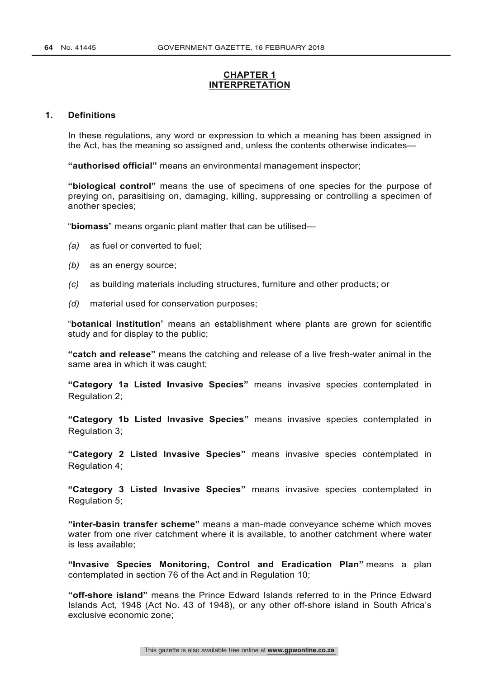## **CHAPTER 1 INTERPRETATION**

#### **1. Definitions**

In these regulations, any word or expression to which a meaning has been assigned in the Act, has the meaning so assigned and, unless the contents otherwise indicates—

**"authorised official"** means an environmental management inspector;

**"biological control"** means the use of specimens of one species for the purpose of preying on, parasitising on, damaging, killing, suppressing or controlling a specimen of another species;

"**biomass**" means organic plant matter that can be utilised—

- *(a)* as fuel or converted to fuel;
- *(b)* as an energy source;
- *(c)* as building materials including structures, furniture and other products; or
- *(d)* material used for conservation purposes;

"**botanical institution**" means an establishment where plants are grown for scientific study and for display to the public;

**"catch and release"** means the catching and release of a live fresh-water animal in the same area in which it was caught;

**"Category 1a Listed Invasive Species"** means invasive species contemplated in Regulation 2;

**"Category 1b Listed Invasive Species"** means invasive species contemplated in Regulation 3;

**"Category 2 Listed Invasive Species"** means invasive species contemplated in Regulation 4;

**"Category 3 Listed Invasive Species"** means invasive species contemplated in Regulation 5;

**"inter-basin transfer scheme"** means a man-made conveyance scheme which moves water from one river catchment where it is available, to another catchment where water is less available;

**"Invasive Species Monitoring, Control and Eradication Plan"** means a plan contemplated in section 76 of the Act and in Regulation 10;

**"off-shore island"** means the Prince Edward Islands referred to in the Prince Edward Islands Act, 1948 (Act No. 43 of 1948), or any other off-shore island in South Africa's exclusive economic zone;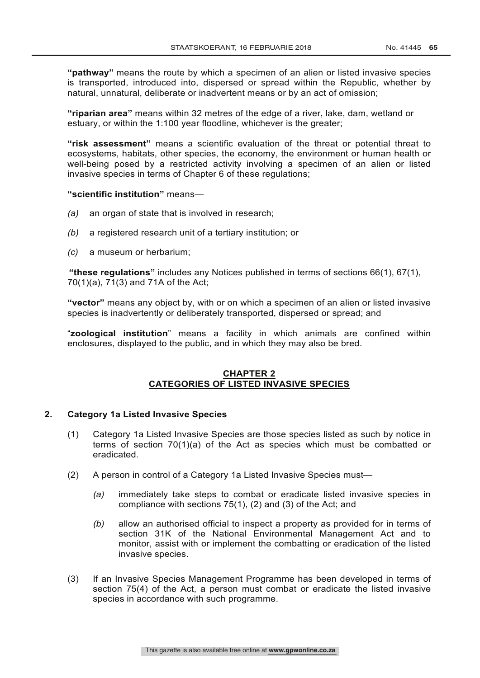**"pathway"** means the route by which a specimen of an alien or listed invasive species is transported, introduced into, dispersed or spread within the Republic, whether by natural, unnatural, deliberate or inadvertent means or by an act of omission;

**"riparian area"** means within 32 metres of the edge of a river, lake, dam, wetland or estuary, or within the 1:100 year floodline, whichever is the greater;

**"risk assessment"** means a scientific evaluation of the threat or potential threat to ecosystems, habitats, other species, the economy, the environment or human health or well-being posed by a restricted activity involving a specimen of an alien or listed invasive species in terms of Chapter 6 of these regulations;

#### **"scientific institution"** means—

- *(a)* an organ of state that is involved in research;
- *(b)* a registered research unit of a tertiary institution; or
- *(c)* a museum or herbarium;

**"these regulations"** includes any Notices published in terms of sections 66(1), 67(1), 70(1)(a), 71(3) and 71A of the Act;

**"vector"** means any object by, with or on which a specimen of an alien or listed invasive species is inadvertently or deliberately transported, dispersed or spread; and

"**zoological institution**" means a facility in which animals are confined within enclosures, displayed to the public, and in which they may also be bred.

## **CHAPTER 2 CATEGORIES OF LISTED INVASIVE SPECIES**

### **2. Category 1a Listed Invasive Species**

- (1) Category 1a Listed Invasive Species are those species listed as such by notice in terms of section 70(1)(a) of the Act as species which must be combatted or eradicated.
- (2) A person in control of a Category 1a Listed Invasive Species must—
	- *(a)* immediately take steps to combat or eradicate listed invasive species in compliance with sections 75(1), (2) and (3) of the Act; and
	- *(b)* allow an authorised official to inspect a property as provided for in terms of section 31K of the National Environmental Management Act and to monitor, assist with or implement the combatting or eradication of the listed invasive species.
- (3) If an Invasive Species Management Programme has been developed in terms of section 75(4) of the Act, a person must combat or eradicate the listed invasive species in accordance with such programme.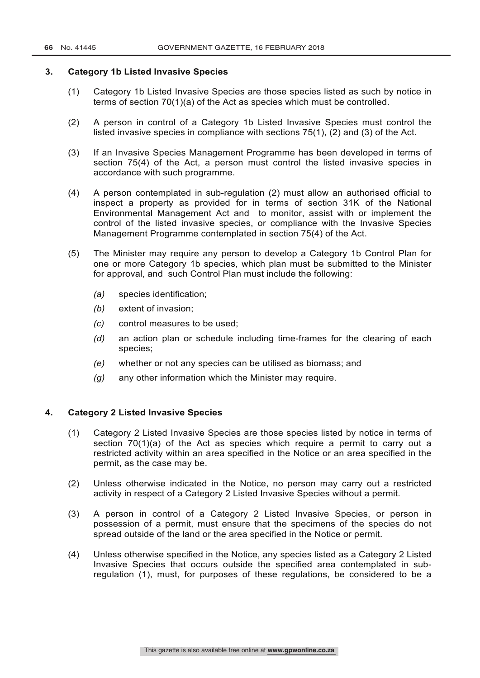### **3. Category 1b Listed Invasive Species**

- (1) Category 1b Listed Invasive Species are those species listed as such by notice in terms of section 70(1)(a) of the Act as species which must be controlled.
- (2) A person in control of a Category 1b Listed Invasive Species must control the listed invasive species in compliance with sections 75(1), (2) and (3) of the Act.
- (3) If an Invasive Species Management Programme has been developed in terms of section 75(4) of the Act, a person must control the listed invasive species in accordance with such programme.
- (4) A person contemplated in sub-regulation (2) must allow an authorised official to inspect a property as provided for in terms of section 31K of the National Environmental Management Act and to monitor, assist with or implement the control of the listed invasive species, or compliance with the Invasive Species Management Programme contemplated in section 75(4) of the Act.
- (5) The Minister may require any person to develop a Category 1b Control Plan for one or more Category 1b species, which plan must be submitted to the Minister for approval, and such Control Plan must include the following:
	- *(a)* species identification;
	- *(b)* extent of invasion;
	- *(c)* control measures to be used;
	- *(d)* an action plan or schedule including time-frames for the clearing of each species;
	- *(e)* whether or not any species can be utilised as biomass; and
	- *(g)* any other information which the Minister may require.

## **4. Category 2 Listed Invasive Species**

- (1) Category 2 Listed Invasive Species are those species listed by notice in terms of section  $70(1)(a)$  of the Act as species which require a permit to carry out a restricted activity within an area specified in the Notice or an area specified in the permit, as the case may be.
- (2) Unless otherwise indicated in the Notice, no person may carry out a restricted activity in respect of a Category 2 Listed Invasive Species without a permit.
- (3) A person in control of a Category 2 Listed Invasive Species, or person in possession of a permit, must ensure that the specimens of the species do not spread outside of the land or the area specified in the Notice or permit.
- (4) Unless otherwise specified in the Notice, any species listed as a Category 2 Listed Invasive Species that occurs outside the specified area contemplated in subregulation (1), must, for purposes of these regulations, be considered to be a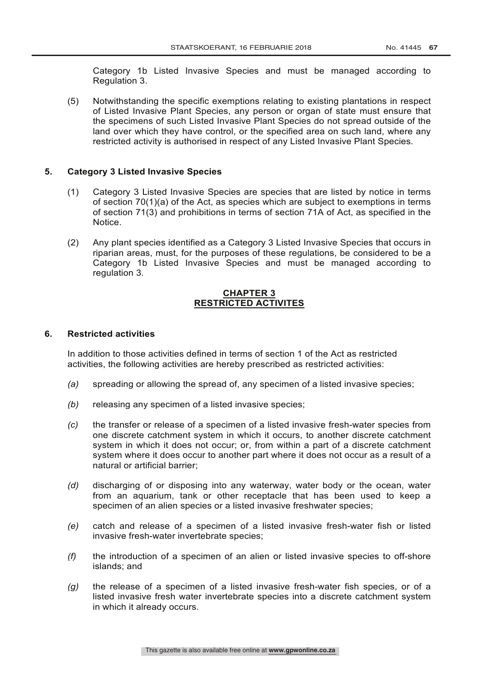Category 1b Listed Invasive Species and must be managed according to Regulation 3.

(5) Notwithstanding the specific exemptions relating to existing plantations in respect of Listed Invasive Plant Species, any person or organ of state must ensure that the specimens of such Listed Invasive Plant Species do not spread outside of the land over which they have control, or the specified area on such land, where any restricted activity is authorised in respect of any Listed Invasive Plant Species.

## **5. Category 3 Listed Invasive Species**

- (1) Category 3 Listed Invasive Species are species that are listed by notice in terms of section 70(1)(a) of the Act, as species which are subject to exemptions in terms of section 71(3) and prohibitions in terms of section 71A of Act, as specified in the Notice.
- (2) Any plant species identified as a Category 3 Listed Invasive Species that occurs in riparian areas, must, for the purposes of these regulations, be considered to be a Category 1b Listed Invasive Species and must be managed according to regulation 3.

### **CHAPTER 3 RESTRICTED ACTIVITES**

#### **6. Restricted activities**

In addition to those activities defined in terms of section 1 of the Act as restricted activities, the following activities are hereby prescribed as restricted activities:

- *(a)* spreading or allowing the spread of, any specimen of a listed invasive species;
- *(b)* releasing any specimen of a listed invasive species;
- *(c)* the transfer or release of a specimen of a listed invasive fresh-water species from one discrete catchment system in which it occurs, to another discrete catchment system in which it does not occur; or, from within a part of a discrete catchment system where it does occur to another part where it does not occur as a result of a natural or artificial barrier;
- *(d)* discharging of or disposing into any waterway, water body or the ocean, water from an aquarium, tank or other receptacle that has been used to keep a specimen of an alien species or a listed invasive freshwater species;
- *(e)* catch and release of a specimen of a listed invasive fresh-water fish or listed invasive fresh-water invertebrate species;
- *(f)* the introduction of a specimen of an alien or listed invasive species to off-shore islands; and
- *(g)* the release of a specimen of a listed invasive fresh-water fish species, or of a listed invasive fresh water invertebrate species into a discrete catchment system in which it already occurs.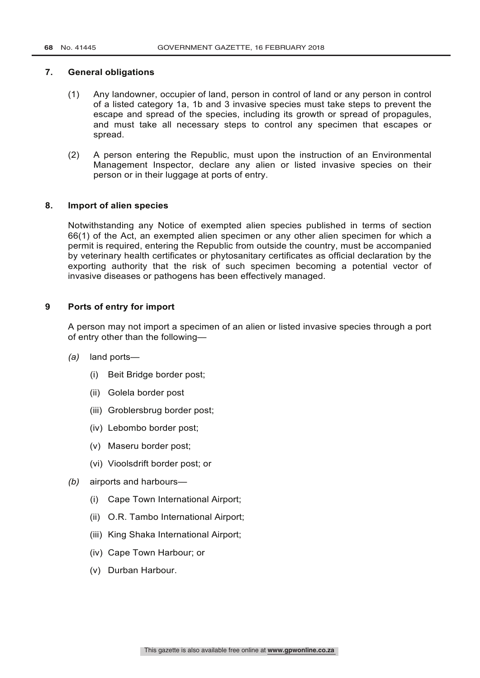## **7. General obligations**

- (1) Any landowner, occupier of land, person in control of land or any person in control of a listed category 1a, 1b and 3 invasive species must take steps to prevent the escape and spread of the species, including its growth or spread of propagules, and must take all necessary steps to control any specimen that escapes or spread.
- (2) A person entering the Republic, must upon the instruction of an Environmental Management Inspector, declare any alien or listed invasive species on their person or in their luggage at ports of entry.

## **8. Import of alien species**

Notwithstanding any Notice of exempted alien species published in terms of section 66(1) of the Act, an exempted alien specimen or any other alien specimen for which a permit is required, entering the Republic from outside the country, must be accompanied by veterinary health certificates or phytosanitary certificates as official declaration by the exporting authority that the risk of such specimen becoming a potential vector of invasive diseases or pathogens has been effectively managed.

## **9 Ports of entry for import**

A person may not import a specimen of an alien or listed invasive species through a port of entry other than the following—

- *(a)* land ports—
	- (i) Beit Bridge border post;
	- (ii) Golela border post
	- (iii) Groblersbrug border post;
	- (iv) Lebombo border post;
	- (v) Maseru border post;
	- (vi) Vioolsdrift border post; or
- *(b)* airports and harbours—
	- (i) Cape Town International Airport;
	- (ii) O.R. Tambo International Airport;
	- (iii) King Shaka International Airport;
	- (iv) Cape Town Harbour; or
	- (v) Durban Harbour.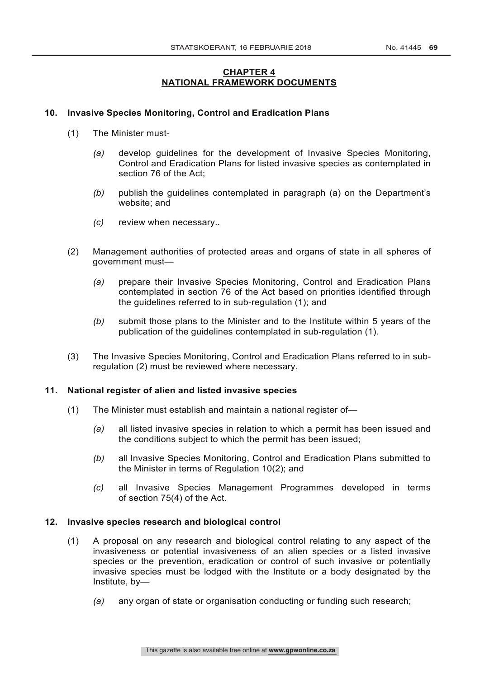## **CHAPTER 4 NATIONAL FRAMEWORK DOCUMENTS**

## **10. Invasive Species Monitoring, Control and Eradication Plans**

- (1) The Minister must-
	- *(a)* develop guidelines for the development of Invasive Species Monitoring, Control and Eradication Plans for listed invasive species as contemplated in section 76 of the Act;
	- *(b)* publish the guidelines contemplated in paragraph (a) on the Department's website; and
	- *(c)* review when necessary..
- (2) Management authorities of protected areas and organs of state in all spheres of government must—
	- *(a)* prepare their Invasive Species Monitoring, Control and Eradication Plans contemplated in section 76 of the Act based on priorities identified through the guidelines referred to in sub-regulation (1); and
	- *(b)* submit those plans to the Minister and to the Institute within 5 years of the publication of the guidelines contemplated in sub-regulation (1).
- (3) The Invasive Species Monitoring, Control and Eradication Plans referred to in subregulation (2) must be reviewed where necessary.

#### **11. National register of alien and listed invasive species**

- (1) The Minister must establish and maintain a national register of—
	- *(a)* all listed invasive species in relation to which a permit has been issued and the conditions subject to which the permit has been issued;
	- *(b)* all Invasive Species Monitoring, Control and Eradication Plans submitted to the Minister in terms of Regulation 10(2); and
	- *(c)* all Invasive Species Management Programmes developed in terms of section 75(4) of the Act.

#### **12. Invasive species research and biological control**

- (1) A proposal on any research and biological control relating to any aspect of the invasiveness or potential invasiveness of an alien species or a listed invasive species or the prevention, eradication or control of such invasive or potentially invasive species must be lodged with the Institute or a body designated by the Institute, by—
	- *(a)* any organ of state or organisation conducting or funding such research;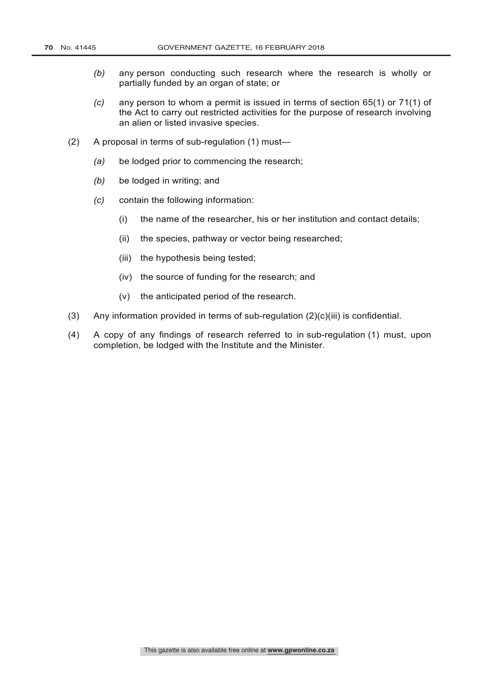- *(b)* any person conducting such research where the research is wholly or partially funded by an organ of state; or
- *(c)* any person to whom a permit is issued in terms of section 65(1) or 71(1) of the Act to carry out restricted activities for the purpose of research involving an alien or listed invasive species.
- (2) A proposal in terms of sub-regulation (1) must—
	- *(a)* be lodged prior to commencing the research;
	- *(b)* be lodged in writing; and
	- *(c)* contain the following information:
		- (i) the name of the researcher, his or her institution and contact details;
		- (ii) the species, pathway or vector being researched;
		- (iii) the hypothesis being tested;
		- (iv) the source of funding for the research; and
		- (v) the anticipated period of the research.
- (3) Any information provided in terms of sub-regulation  $(2)(c)(iii)$  is confidential.
- (4) A copy of any findings of research referred to in sub-regulation (1) must, upon completion, be lodged with the Institute and the Minister.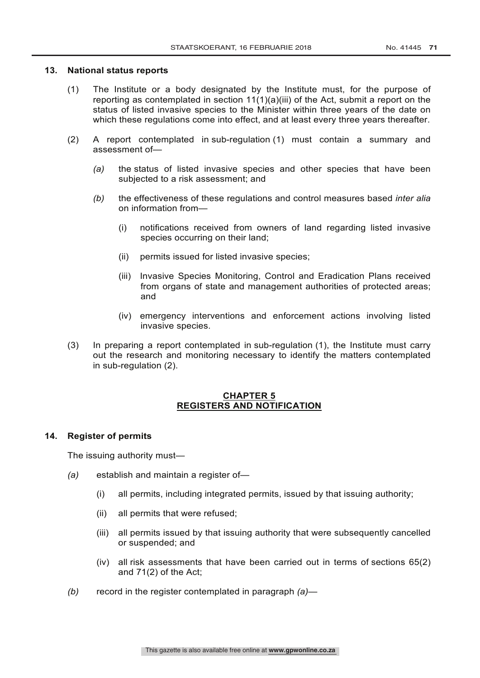#### **13. National status reports**

- (1) The Institute or a body designated by the Institute must, for the purpose of reporting as contemplated in section 11(1)(a)(iii) of the Act, submit a report on the status of listed invasive species to the Minister within three years of the date on which these regulations come into effect, and at least every three years thereafter.
- (2) A report contemplated in sub-regulation (1) must contain a summary and assessment of—
	- *(a)* the status of listed invasive species and other species that have been subjected to a risk assessment; and
	- *(b)* the effectiveness of these regulations and control measures based *inter alia* on information from—
		- (i) notifications received from owners of land regarding listed invasive species occurring on their land;
		- (ii) permits issued for listed invasive species;
		- (iii) Invasive Species Monitoring, Control and Eradication Plans received from organs of state and management authorities of protected areas; and
		- (iv) emergency interventions and enforcement actions involving listed invasive species.
- (3) In preparing a report contemplated in sub-regulation (1), the Institute must carry out the research and monitoring necessary to identify the matters contemplated in sub-regulation (2).

## **CHAPTER 5 REGISTERS AND NOTIFICATION**

## **14. Register of permits**

The issuing authority must—

- *(a)* establish and maintain a register of—
	- (i) all permits, including integrated permits, issued by that issuing authority;
	- (ii) all permits that were refused;
	- (iii) all permits issued by that issuing authority that were subsequently cancelled or suspended; and
	- (iv) all risk assessments that have been carried out in terms of sections 65(2) and 71(2) of the Act;
- *(b)* record in the register contemplated in paragraph *(a)*—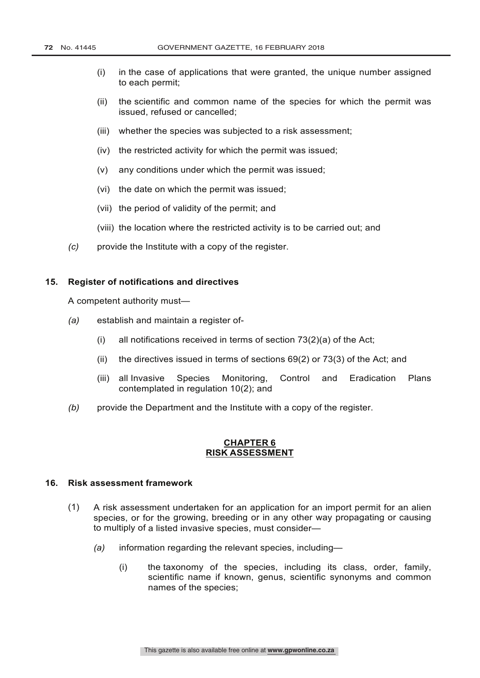- (i) in the case of applications that were granted, the unique number assigned to each permit;
- (ii) the scientific and common name of the species for which the permit was issued, refused or cancelled;
- (iii) whether the species was subjected to a risk assessment;
- (iv) the restricted activity for which the permit was issued;
- (v) any conditions under which the permit was issued;
- (vi) the date on which the permit was issued;
- (vii) the period of validity of the permit; and
- (viii) the location where the restricted activity is to be carried out; and
- *(c)* provide the Institute with a copy of the register.

#### **15. Register of notifications and directives**

A competent authority must—

- *(a)* establish and maintain a register of-
	- (i) all notifications received in terms of section 73(2)(a) of the Act;
	- (ii) the directives issued in terms of sections 69(2) or 73(3) of the Act; and
	- (iii) all Invasive Species Monitoring, Control and Eradication Plans contemplated in regulation 10(2); and
- *(b)* provide the Department and the Institute with a copy of the register.

#### **CHAPTER 6 RISK ASSESSMENT**

## **16. Risk assessment framework**

- (1) A risk assessment undertaken for an application for an import permit for an alien species, or for the growing, breeding or in any other way propagating or causing to multiply of a listed invasive species, must consider—
	- *(a)* information regarding the relevant species, including—
		- (i) the taxonomy of the species, including its class, order, family, scientific name if known, genus, scientific synonyms and common names of the species;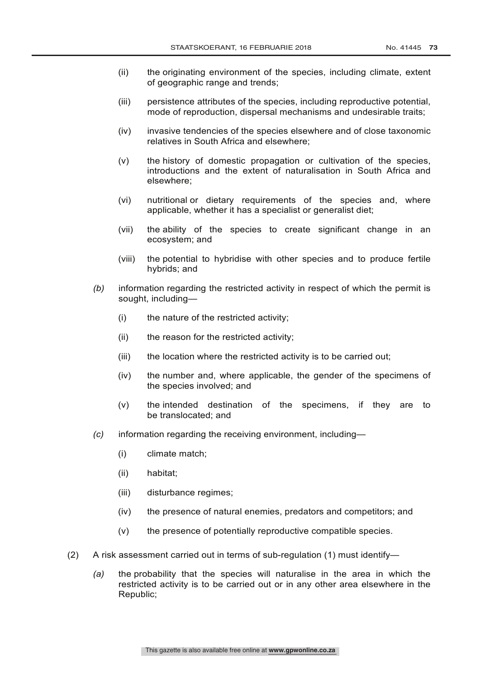- (ii) the originating environment of the species, including climate, extent of geographic range and trends;
- (iii) persistence attributes of the species, including reproductive potential, mode of reproduction, dispersal mechanisms and undesirable traits;
- (iv) invasive tendencies of the species elsewhere and of close taxonomic relatives in South Africa and elsewhere;
- (v) the history of domestic propagation or cultivation of the species, introductions and the extent of naturalisation in South Africa and elsewhere;
- (vi) nutritional or dietary requirements of the species and, where applicable, whether it has a specialist or generalist diet;
- (vii) the ability of the species to create significant change in an ecosystem; and
- (viii) the potential to hybridise with other species and to produce fertile hybrids; and
- *(b)* information regarding the restricted activity in respect of which the permit is sought, including—
	- (i) the nature of the restricted activity;
	- (ii) the reason for the restricted activity;
	- (iii) the location where the restricted activity is to be carried out;
	- (iv) the number and, where applicable, the gender of the specimens of the species involved; and
	- (v) the intended destination of the specimens, if they are to be translocated; and
- *(c)* information regarding the receiving environment, including—
	- (i) climate match;
	- (ii) habitat;
	- (iii) disturbance regimes;
	- (iv) the presence of natural enemies, predators and competitors; and
	- (v) the presence of potentially reproductive compatible species.
- (2) A risk assessment carried out in terms of sub-regulation (1) must identify—
	- *(a)* the probability that the species will naturalise in the area in which the restricted activity is to be carried out or in any other area elsewhere in the Republic;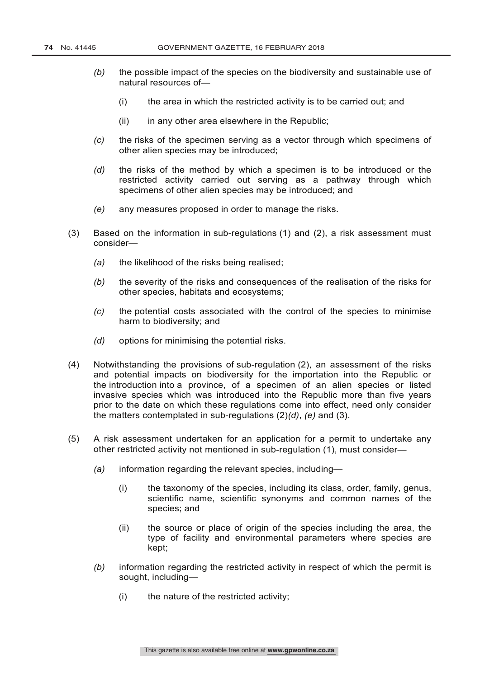- *(b)* the possible impact of the species on the biodiversity and sustainable use of natural resources of—
	- (i) the area in which the restricted activity is to be carried out; and
	- $(ii)$  in any other area elsewhere in the Republic:
- *(c)* the risks of the specimen serving as a vector through which specimens of other alien species may be introduced;
- *(d)* the risks of the method by which a specimen is to be introduced or the restricted activity carried out serving as a pathway through which specimens of other alien species may be introduced; and
- *(e)* any measures proposed in order to manage the risks.
- (3) Based on the information in sub-regulations (1) and (2), a risk assessment must consider—
	- *(a)* the likelihood of the risks being realised;
	- *(b)* the severity of the risks and consequences of the realisation of the risks for other species, habitats and ecosystems;
	- *(c)* the potential costs associated with the control of the species to minimise harm to biodiversity; and
	- *(d)* options for minimising the potential risks.
- (4) Notwithstanding the provisions of sub-regulation (2), an assessment of the risks and potential impacts on biodiversity for the importation into the Republic or the introduction into a province, of a specimen of an alien species or listed invasive species which was introduced into the Republic more than five years prior to the date on which these regulations come into effect, need only consider the matters contemplated in sub-regulations (2)*(d)*, *(e)* and (3).
- (5) A risk assessment undertaken for an application for a permit to undertake any other restricted activity not mentioned in sub-regulation (1), must consider—
	- *(a)* information regarding the relevant species, including—
		- (i) the taxonomy of the species, including its class, order, family, genus, scientific name, scientific synonyms and common names of the species; and
		- (ii) the source or place of origin of the species including the area, the type of facility and environmental parameters where species are kept;
	- *(b)* information regarding the restricted activity in respect of which the permit is sought, including—
		- (i) the nature of the restricted activity;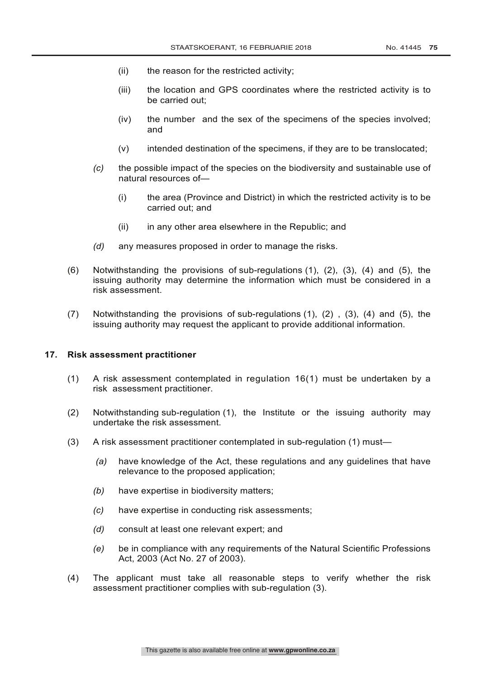- (ii) the reason for the restricted activity;
- (iii) the location and GPS coordinates where the restricted activity is to be carried out;
- (iv) the number and the sex of the specimens of the species involved; and
- (v) intended destination of the specimens, if they are to be translocated;
- *(c)* the possible impact of the species on the biodiversity and sustainable use of natural resources of—
	- (i) the area (Province and District) in which the restricted activity is to be carried out; and
	- (ii) in any other area elsewhere in the Republic; and
- *(d)* any measures proposed in order to manage the risks.
- (6) Notwithstanding the provisions of sub-regulations (1), (2), (3), (4) and (5), the issuing authority may determine the information which must be considered in a risk assessment.
- (7) Notwithstanding the provisions of sub-regulations (1), (2) , (3), (4) and (5), the issuing authority may request the applicant to provide additional information.

#### **17. Risk assessment practitioner**

- (1) A risk assessment contemplated in regulation 16(1) must be undertaken by a risk assessment practitioner.
- (2) Notwithstanding sub-regulation (1), the Institute or the issuing authority may undertake the risk assessment.
- (3) A risk assessment practitioner contemplated in sub-regulation (1) must—
	- *(a)* have knowledge of the Act, these regulations and any guidelines that have relevance to the proposed application;
	- *(b)* have expertise in biodiversity matters;
	- *(c)* have expertise in conducting risk assessments;
	- *(d)* consult at least one relevant expert; and
	- *(e)* be in compliance with any requirements of the Natural Scientific Professions Act, 2003 (Act No. 27 of 2003).
- (4) The applicant must take all reasonable steps to verify whether the risk assessment practitioner complies with sub-regulation (3).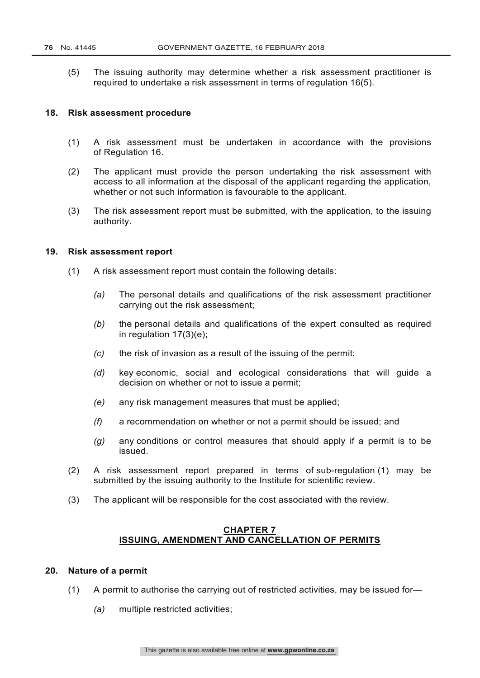(5) The issuing authority may determine whether a risk assessment practitioner is required to undertake a risk assessment in terms of regulation 16(5).

#### **18. Risk assessment procedure**

- (1) A risk assessment must be undertaken in accordance with the provisions of Regulation 16.
- (2) The applicant must provide the person undertaking the risk assessment with access to all information at the disposal of the applicant regarding the application, whether or not such information is favourable to the applicant.
- (3) The risk assessment report must be submitted, with the application, to the issuing authority.

## **19. Risk assessment report**

- (1) A risk assessment report must contain the following details:
	- *(a)* The personal details and qualifications of the risk assessment practitioner carrying out the risk assessment;
	- *(b)* the personal details and qualifications of the expert consulted as required in regulation  $17(3)(e)$ ;
	- *(c)* the risk of invasion as a result of the issuing of the permit;
	- *(d)* key economic, social and ecological considerations that will guide a decision on whether or not to issue a permit;
	- *(e)* any risk management measures that must be applied;
	- *(f)* a recommendation on whether or not a permit should be issued; and
	- *(g)* any conditions or control measures that should apply if a permit is to be issued.
- (2) A risk assessment report prepared in terms of sub-regulation (1) may be submitted by the issuing authority to the Institute for scientific review.
- (3) The applicant will be responsible for the cost associated with the review.

## **CHAPTER 7 ISSUING, AMENDMENT AND CANCELLATION OF PERMITS**

#### **20. Nature of a permit**

- (1) A permit to authorise the carrying out of restricted activities, may be issued for—
	- *(a)* multiple restricted activities;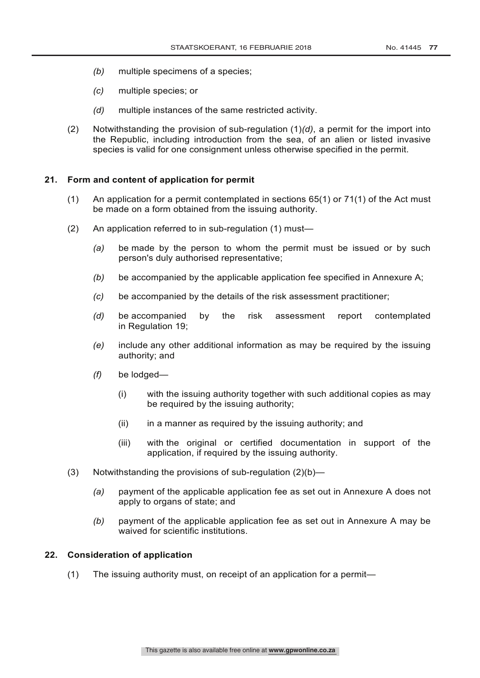- *(b)* multiple specimens of a species;
- *(c)* multiple species; or
- *(d)* multiple instances of the same restricted activity.
- (2) Notwithstanding the provision of sub-regulation (1)*(d)*, a permit for the import into the Republic, including introduction from the sea, of an alien or listed invasive species is valid for one consignment unless otherwise specified in the permit.

## **21. Form and content of application for permit**

- (1) An application for a permit contemplated in sections 65(1) or 71(1) of the Act must be made on a form obtained from the issuing authority.
- (2) An application referred to in sub-regulation (1) must—
	- *(a)* be made by the person to whom the permit must be issued or by such person's duly authorised representative;
	- *(b)* be accompanied by the applicable application fee specified in Annexure A;
	- *(c)* be accompanied by the details of the risk assessment practitioner;
	- *(d)* be accompanied by the risk assessment report contemplated in Regulation 19;
	- *(e)* include any other additional information as may be required by the issuing authority; and
	- *(f)* be lodged—
		- (i) with the issuing authority together with such additional copies as may be required by the issuing authority;
		- $(ii)$  in a manner as required by the issuing authority; and
		- (iii) with the original or certified documentation in support of the application, if required by the issuing authority.
- (3) Notwithstanding the provisions of sub-regulation (2)(b)—
	- *(a)* payment of the applicable application fee as set out in Annexure A does not apply to organs of state; and
	- *(b)* payment of the applicable application fee as set out in Annexure A may be waived for scientific institutions.

## **22. Consideration of application**

(1) The issuing authority must, on receipt of an application for a permit—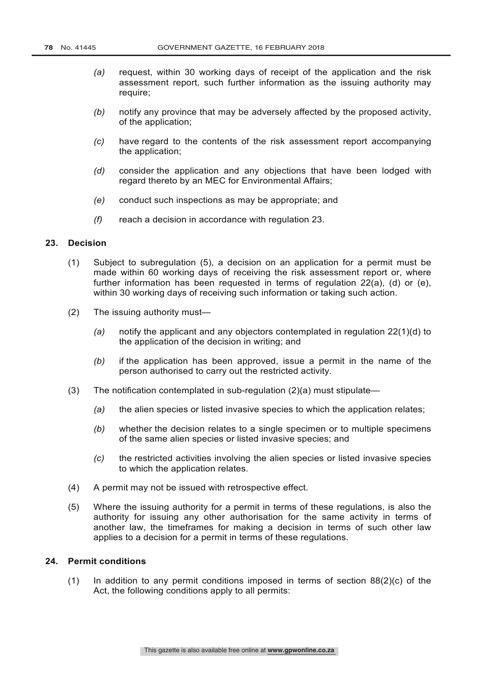- *(a)* request, within 30 working days of receipt of the application and the risk assessment report, such further information as the issuing authority may require;
- *(b)* notify any province that may be adversely affected by the proposed activity, of the application;
- *(c)* have regard to the contents of the risk assessment report accompanying the application;
- *(d)* consider the application and any objections that have been lodged with regard thereto by an MEC for Environmental Affairs;
- *(e)* conduct such inspections as may be appropriate; and
- *(f)* reach a decision in accordance with regulation 23.

## **23. Decision**

- (1) Subject to subregulation (5), a decision on an application for a permit must be made within 60 working days of receiving the risk assessment report or, where further information has been requested in terms of regulation 22(a), (d) or (e), within 30 working days of receiving such information or taking such action.
- (2) The issuing authority must—
	- *(a)* notify the applicant and any objectors contemplated in regulation 22(1)(d) to the application of the decision in writing; and
	- *(b)* if the application has been approved, issue a permit in the name of the person authorised to carry out the restricted activity.
- (3) The notification contemplated in sub-regulation  $(2)(a)$  must stipulate—
	- *(a)* the alien species or listed invasive species to which the application relates;
	- *(b)* whether the decision relates to a single specimen or to multiple specimens of the same alien species or listed invasive species; and
	- *(c)* the restricted activities involving the alien species or listed invasive species to which the application relates.
- (4) A permit may not be issued with retrospective effect.
- (5) Where the issuing authority for a permit in terms of these regulations, is also the authority for issuing any other authorisation for the same activity in terms of another law, the timeframes for making a decision in terms of such other law applies to a decision for a permit in terms of these regulations.

## **24. Permit conditions**

(1) In addition to any permit conditions imposed in terms of section  $88(2)(c)$  of the Act, the following conditions apply to all permits: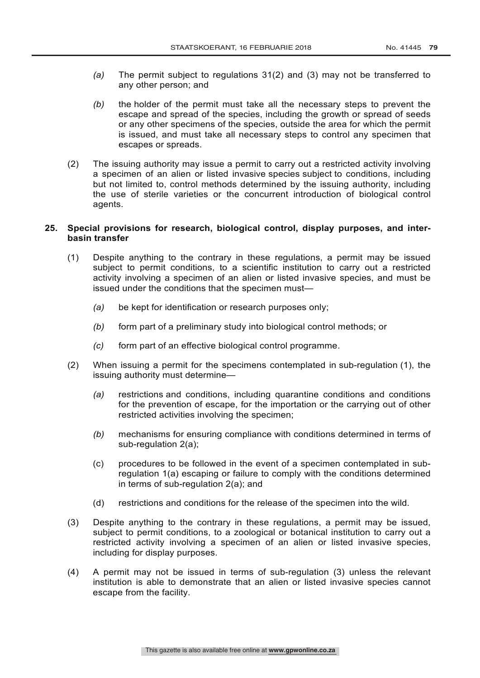- *(a)* The permit subject to regulations 31(2) and (3) may not be transferred to any other person; and
- *(b)* the holder of the permit must take all the necessary steps to prevent the escape and spread of the species, including the growth or spread of seeds or any other specimens of the species, outside the area for which the permit is issued, and must take all necessary steps to control any specimen that escapes or spreads.
- (2) The issuing authority may issue a permit to carry out a restricted activity involving a specimen of an alien or listed invasive species subject to conditions, including but not limited to, control methods determined by the issuing authority, including the use of sterile varieties or the concurrent introduction of biological control agents.

## **25. Special provisions for research, biological control, display purposes, and interbasin transfer**

- (1) Despite anything to the contrary in these regulations, a permit may be issued subject to permit conditions, to a scientific institution to carry out a restricted activity involving a specimen of an alien or listed invasive species, and must be issued under the conditions that the specimen must—
	- *(a)* be kept for identification or research purposes only;
	- *(b)* form part of a preliminary study into biological control methods; or
	- *(c)* form part of an effective biological control programme.
- (2) When issuing a permit for the specimens contemplated in sub-regulation (1), the issuing authority must determine—
	- *(a)* restrictions and conditions, including quarantine conditions and conditions for the prevention of escape, for the importation or the carrying out of other restricted activities involving the specimen;
	- *(b)* mechanisms for ensuring compliance with conditions determined in terms of sub-regulation 2(a);
	- (c) procedures to be followed in the event of a specimen contemplated in subregulation 1(a) escaping or failure to comply with the conditions determined in terms of sub-regulation 2(a); and
	- (d) restrictions and conditions for the release of the specimen into the wild.
- (3) Despite anything to the contrary in these regulations, a permit may be issued, subject to permit conditions, to a zoological or botanical institution to carry out a restricted activity involving a specimen of an alien or listed invasive species, including for display purposes.
- (4) A permit may not be issued in terms of sub-regulation (3) unless the relevant institution is able to demonstrate that an alien or listed invasive species cannot escape from the facility.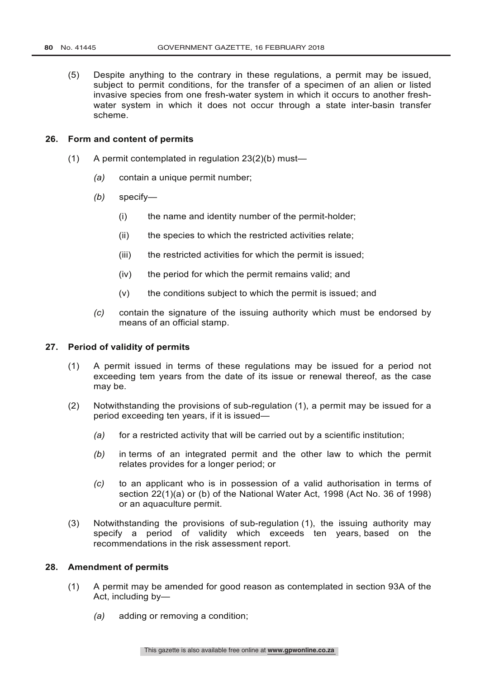(5) Despite anything to the contrary in these regulations, a permit may be issued, subject to permit conditions, for the transfer of a specimen of an alien or listed invasive species from one fresh-water system in which it occurs to another freshwater system in which it does not occur through a state inter-basin transfer scheme.

## **26. Form and content of permits**

- (1) A permit contemplated in regulation 23(2)(b) must—
	- *(a)* contain a unique permit number;
	- *(b)* specify—
		- (i) the name and identity number of the permit-holder;
		- (ii) the species to which the restricted activities relate;
		- (iii) the restricted activities for which the permit is issued;
		- (iv) the period for which the permit remains valid; and
		- $(v)$  the conditions subject to which the permit is issued; and
	- *(c)* contain the signature of the issuing authority which must be endorsed by means of an official stamp.

#### **27. Period of validity of permits**

- (1) A permit issued in terms of these regulations may be issued for a period not exceeding tem years from the date of its issue or renewal thereof, as the case may be.
- (2) Notwithstanding the provisions of sub-regulation (1), a permit may be issued for a period exceeding ten years, if it is issued—
	- *(a)* for a restricted activity that will be carried out by a scientific institution;
	- *(b)* in terms of an integrated permit and the other law to which the permit relates provides for a longer period; or
	- *(c)* to an applicant who is in possession of a valid authorisation in terms of section 22(1)(a) or (b) of the National Water Act, 1998 (Act No. 36 of 1998) or an aquaculture permit.
- (3) Notwithstanding the provisions of sub-regulation (1), the issuing authority may specify a period of validity which exceeds ten years, based on the recommendations in the risk assessment report.

## **28. Amendment of permits**

- (1) A permit may be amended for good reason as contemplated in section 93A of the Act, including by—
	- *(a)* adding or removing a condition;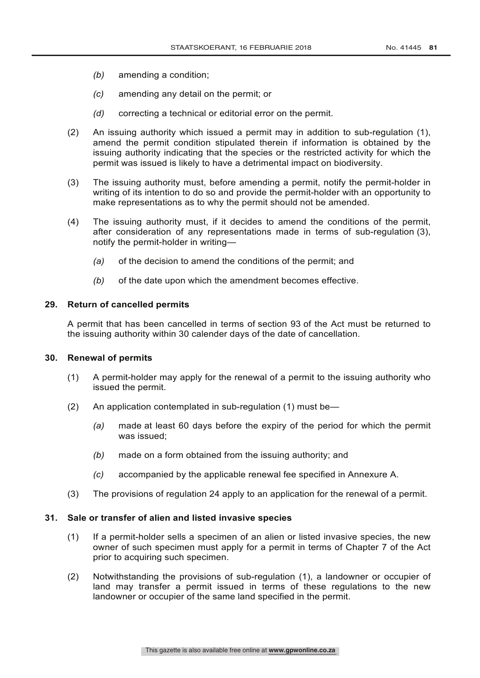- *(b)* amending a condition;
- *(c)* amending any detail on the permit; or
- *(d)* correcting a technical or editorial error on the permit.
- (2) An issuing authority which issued a permit may in addition to sub-regulation (1), amend the permit condition stipulated therein if information is obtained by the issuing authority indicating that the species or the restricted activity for which the permit was issued is likely to have a detrimental impact on biodiversity.
- (3) The issuing authority must, before amending a permit, notify the permit-holder in writing of its intention to do so and provide the permit-holder with an opportunity to make representations as to why the permit should not be amended.
- (4) The issuing authority must, if it decides to amend the conditions of the permit, after consideration of any representations made in terms of sub-regulation (3), notify the permit-holder in writing—
	- *(a)* of the decision to amend the conditions of the permit; and
	- *(b)* of the date upon which the amendment becomes effective.

#### **29. Return of cancelled permits**

A permit that has been cancelled in terms of section 93 of the Act must be returned to the issuing authority within 30 calender days of the date of cancellation.

## **30. Renewal of permits**

- (1) A permit-holder may apply for the renewal of a permit to the issuing authority who issued the permit.
- (2) An application contemplated in sub-regulation (1) must be—
	- *(a)* made at least 60 days before the expiry of the period for which the permit was issued;
	- *(b)* made on a form obtained from the issuing authority; and
	- *(c)* accompanied by the applicable renewal fee specified in Annexure A.
- (3) The provisions of regulation 24 apply to an application for the renewal of a permit.

## **31. Sale or transfer of alien and listed invasive species**

- (1) If a permit-holder sells a specimen of an alien or listed invasive species, the new owner of such specimen must apply for a permit in terms of Chapter 7 of the Act prior to acquiring such specimen.
- (2) Notwithstanding the provisions of sub-regulation (1), a landowner or occupier of land may transfer a permit issued in terms of these regulations to the new landowner or occupier of the same land specified in the permit.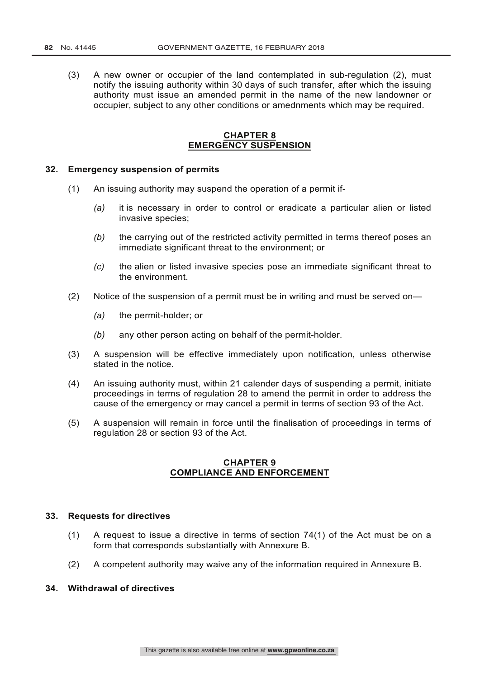(3) A new owner or occupier of the land contemplated in sub-regulation (2), must notify the issuing authority within 30 days of such transfer, after which the issuing authority must issue an amended permit in the name of the new landowner or occupier, subject to any other conditions or amednments which may be required.

## **CHAPTER 8 EMERGENCY SUSPENSION**

#### **32. Emergency suspension of permits**

- (1) An issuing authority may suspend the operation of a permit if-
	- *(a)* it is necessary in order to control or eradicate a particular alien or listed invasive species;
	- *(b)* the carrying out of the restricted activity permitted in terms thereof poses an immediate significant threat to the environment; or
	- *(c)* the alien or listed invasive species pose an immediate significant threat to the environment.
- (2) Notice of the suspension of a permit must be in writing and must be served on—
	- *(a)* the permit-holder; or
	- *(b)* any other person acting on behalf of the permit-holder.
- (3) A suspension will be effective immediately upon notification, unless otherwise stated in the notice.
- (4) An issuing authority must, within 21 calender days of suspending a permit, initiate proceedings in terms of regulation 28 to amend the permit in order to address the cause of the emergency or may cancel a permit in terms of section 93 of the Act.
- (5) A suspension will remain in force until the finalisation of proceedings in terms of regulation 28 or section 93 of the Act.

#### **CHAPTER 9 COMPLIANCE AND ENFORCEMENT**

#### **33. Requests for directives**

- (1) A request to issue a directive in terms of section 74(1) of the Act must be on a form that corresponds substantially with Annexure B.
- (2) A competent authority may waive any of the information required in Annexure B.

## **34. Withdrawal of directives**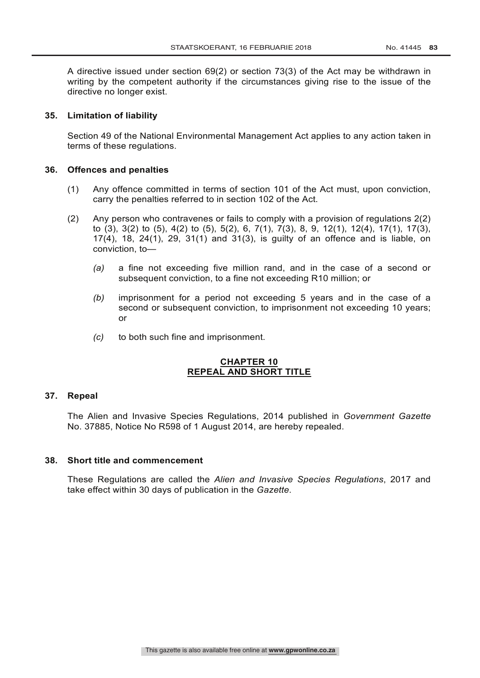A directive issued under section 69(2) or section 73(3) of the Act may be withdrawn in writing by the competent authority if the circumstances giving rise to the issue of the directive no longer exist.

## **35. Limitation of liability**

Section 49 of the National Environmental Management Act applies to any action taken in terms of these regulations.

## **36. Offences and penalties**

- (1) Any offence committed in terms of section 101 of the Act must, upon conviction, carry the penalties referred to in section 102 of the Act.
- (2) Any person who contravenes or fails to comply with a provision of regulations 2(2) to (3), 3(2) to (5), 4(2) to (5), 5(2), 6, 7(1), 7(3), 8, 9, 12(1), 12(4), 17(1), 17(3), 17(4), 18, 24(1), 29, 31(1) and 31(3), is guilty of an offence and is liable, on conviction, to—
	- *(a)* a fine not exceeding five million rand, and in the case of a second or subsequent conviction, to a fine not exceeding R10 million; or
	- *(b)* imprisonment for a period not exceeding 5 years and in the case of a second or subsequent conviction, to imprisonment not exceeding 10 years; or
	- *(c)* to both such fine and imprisonment.

## **CHAPTER 10 REPEAL AND SHORT TITLE**

## **37. Repeal**

The Alien and Invasive Species Regulations, 2014 published in *Government Gazette* No. 37885, Notice No R598 of 1 August 2014, are hereby repealed.

#### **38. Short title and commencement**

These Regulations are called the *Alien and Invasive Species Regulations*, 2017 and take effect within 30 days of publication in the *Gazette*.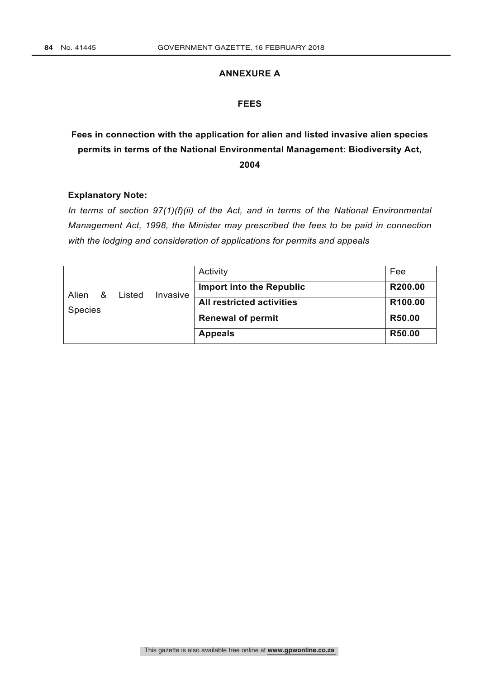## **ANNEXURE A**

## **FEES**

# **Fees in connection with the application for alien and listed invasive alien species permits in terms of the National Environmental Management: Biodiversity Act, 2004**

## **Explanatory Note:**

*In terms of section 97(1)(f)(ii) of the Act, and in terms of the National Environmental Management Act, 1998, the Minister may prescribed the fees to be paid in connection with the lodging and consideration of applications for permits and appeals*

|                | & | Listed | Invasive | Activity                         | Fee     |
|----------------|---|--------|----------|----------------------------------|---------|
| Alien          |   |        |          | <b>Import into the Republic</b>  | R200.00 |
| <b>Species</b> |   |        |          | <b>All restricted activities</b> | R100.00 |
|                |   |        |          | <b>Renewal of permit</b>         | R50.00  |
|                |   |        |          | <b>Appeals</b>                   | R50.00  |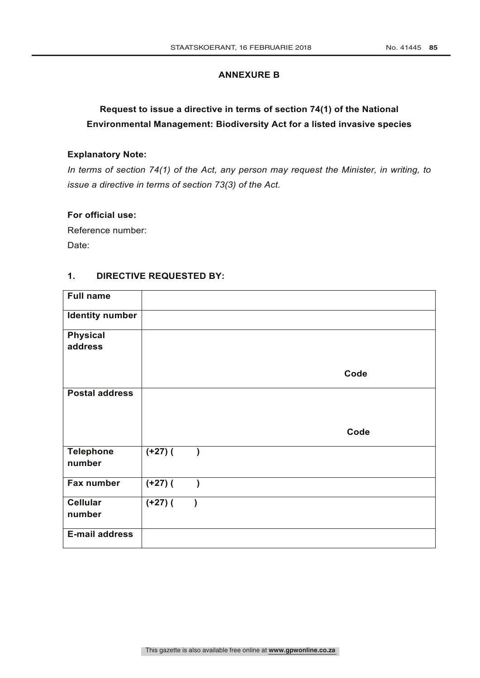## **ANNEXURE B**

# **Request to issue a directive in terms of section 74(1) of the National Environmental Management: Biodiversity Act for a listed invasive species**

## **Explanatory Note:**

*In terms of section 74(1) of the Act, any person may request the Minister, in writing, to issue a directive in terms of section 73(3) of the Act.*

## **For official use:**

Reference number: Date:

## **1. DIRECTIVE REQUESTED BY:**

| <b>Full name</b>           |            |           |  |      |
|----------------------------|------------|-----------|--|------|
| <b>Identity number</b>     |            |           |  |      |
| <b>Physical</b>            |            |           |  |      |
| address                    |            |           |  |      |
|                            |            |           |  | Code |
| <b>Postal address</b>      |            |           |  |      |
|                            |            |           |  | Code |
| <b>Telephone</b><br>number | $(1+27)$ ( | $\lambda$ |  |      |
| Fax number                 | $(+27)$ (  | $\lambda$ |  |      |
| <b>Cellular</b><br>number  | $(+27)$ (  |           |  |      |
| <b>E-mail address</b>      |            |           |  |      |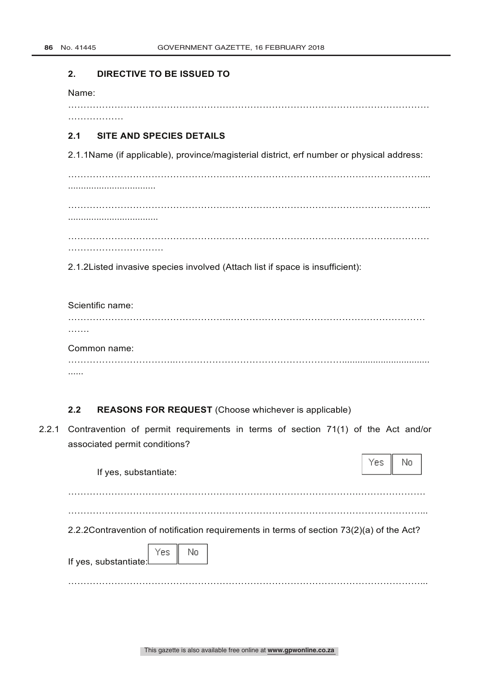#### **2. DIRECTIVE TO BE ISSUED TO**

Name:

………………

………………………………………………………………………………………………………

## **2.1 SITE AND SPECIES DETAILS**

2.1.1Name (if applicable), province/magisterial district, erf number or physical address:

…………………………………………………………………………………………………….... .................................. …………………………………………………………………………………………………….... ................................... ………………………………………………………………………………………………………

………………………….

2.1.2Listed invasive species involved (Attach list if space is insufficient):

Scientific name: ……………………………………………..……………………………………………………… ……. Common name:

……………………………..……………………………………………….................................. ......

## **2.2 REASONS FOR REQUEST** (Choose whichever is applicable)

2.2.1 Contravention of permit requirements in terms of section 71(1) of the Act and/or associated permit conditions?

| If yes, substantiate:                                                                     | Yes i | No |
|-------------------------------------------------------------------------------------------|-------|----|
| 2.2.2 Contravention of notification requirements in terms of section 73(2)(a) of the Act? |       |    |
| If yes, substantiate. Yes No                                                              |       |    |